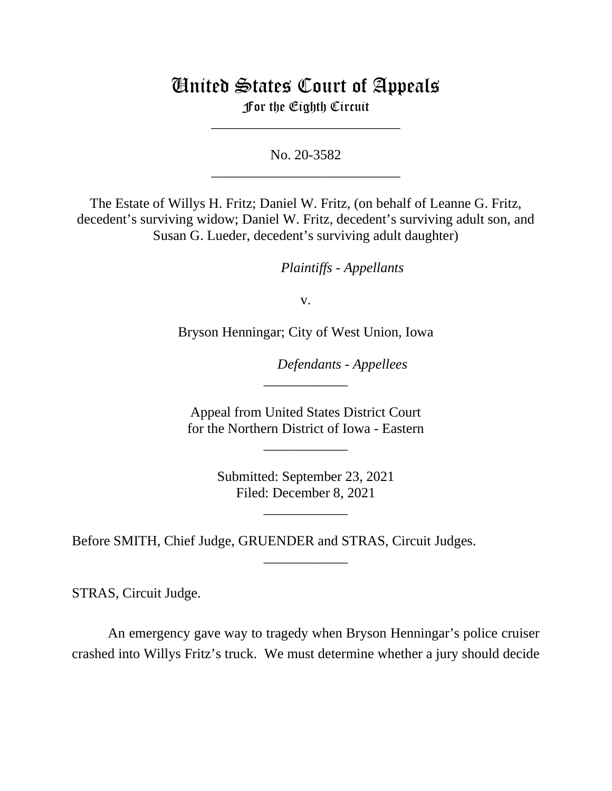## United States Court of Appeals

For the Eighth Circuit \_\_\_\_\_\_\_\_\_\_\_\_\_\_\_\_\_\_\_\_\_\_\_\_\_\_\_

No. 20-3582 \_\_\_\_\_\_\_\_\_\_\_\_\_\_\_\_\_\_\_\_\_\_\_\_\_\_\_

The Estate of Willys H. Fritz; Daniel W. Fritz, (on behalf of Leanne G. Fritz, decedent's surviving widow; Daniel W. Fritz, decedent's surviving adult son, and Susan G. Lueder, decedent's surviving adult daughter)

*Plaintiffs - Appellants*

v.

Bryson Henningar; City of West Union, Iowa

*Defendants - Appellees*

Appeal from United States District Court for the Northern District of Iowa - Eastern

\_\_\_\_\_\_\_\_\_\_\_\_

\_\_\_\_\_\_\_\_\_\_\_\_

Submitted: September 23, 2021 Filed: December 8, 2021

\_\_\_\_\_\_\_\_\_\_\_\_

\_\_\_\_\_\_\_\_\_\_\_\_

Before SMITH, Chief Judge, GRUENDER and STRAS, Circuit Judges.

STRAS, Circuit Judge.

An emergency gave way to tragedy when Bryson Henningar's police cruiser crashed into Willys Fritz's truck. We must determine whether a jury should decide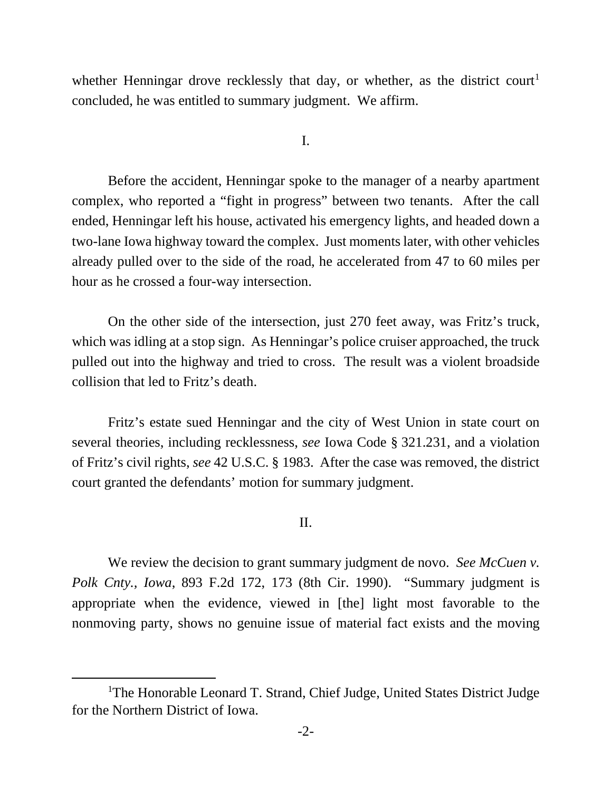whether Henningar drove recklessly that day, or whether, as the district court<sup>1</sup> concluded, he was entitled to summary judgment. We affirm.

I.

Before the accident, Henningar spoke to the manager of a nearby apartment complex, who reported a "fight in progress" between two tenants. After the call ended, Henningar left his house, activated his emergency lights, and headed down a two-lane Iowa highway toward the complex. Just moments later, with other vehicles already pulled over to the side of the road, he accelerated from 47 to 60 miles per hour as he crossed a four-way intersection.

On the other side of the intersection, just 270 feet away, was Fritz's truck, which was idling at a stop sign. As Henningar's police cruiser approached, the truck pulled out into the highway and tried to cross. The result was a violent broadside collision that led to Fritz's death.

Fritz's estate sued Henningar and the city of West Union in state court on several theories, including recklessness, *see* Iowa Code § 321.231, and a violation of Fritz's civil rights, *see* 42 U.S.C. § 1983. After the case was removed, the district court granted the defendants' motion for summary judgment.

II.

We review the decision to grant summary judgment de novo. *See McCuen v. Polk Cnty., Iowa*, 893 F.2d 172, 173 (8th Cir. 1990). "Summary judgment is appropriate when the evidence, viewed in [the] light most favorable to the nonmoving party, shows no genuine issue of material fact exists and the moving

<span id="page-1-0"></span><sup>&</sup>lt;sup>1</sup>The Honorable Leonard T. Strand, Chief Judge, United States District Judge for the Northern District of Iowa.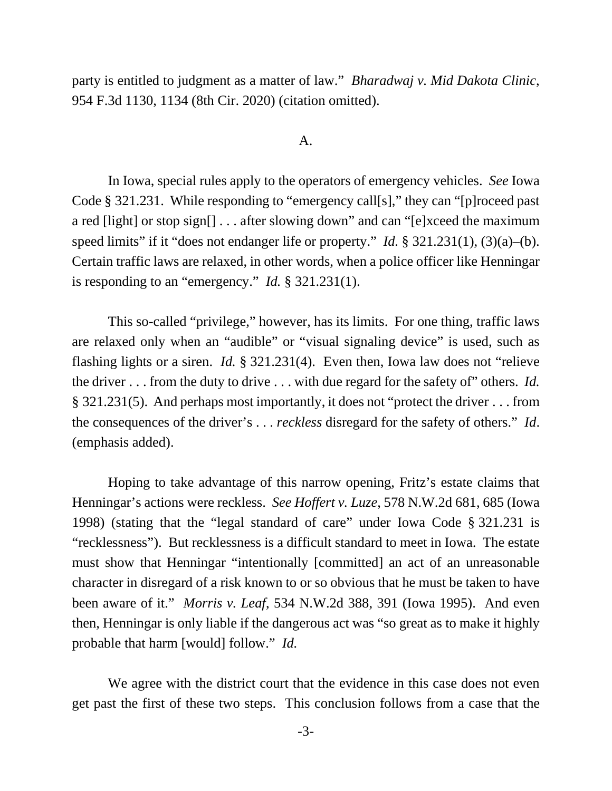party is entitled to judgment as a matter of law." *Bharadwaj v. Mid Dakota Clinic*, 954 F.3d 1130, 1134 (8th Cir. 2020) (citation omitted).

## A.

In Iowa, special rules apply to the operators of emergency vehicles. *See* Iowa Code § 321.231. While responding to "emergency call[s]," they can "[p]roceed past a red [light] or stop sign[] . . . after slowing down" and can "[e]xceed the maximum speed limits" if it "does not endanger life or property." *Id.* § 321.231(1), (3)(a)–(b). Certain traffic laws are relaxed, in other words, when a police officer like Henningar is responding to an "emergency." *Id.* § 321.231(1).

This so-called "privilege," however, has its limits. For one thing, traffic laws are relaxed only when an "audible" or "visual signaling device" is used, such as flashing lights or a siren. *Id.* § 321.231(4). Even then, Iowa law does not "relieve the driver . . . from the duty to drive . . . with due regard for the safety of" others. *Id.* § 321.231(5). And perhaps most importantly, it does not "protect the driver . . . from the consequences of the driver's . . . *reckless* disregard for the safety of others." *Id*. (emphasis added).

Hoping to take advantage of this narrow opening, Fritz's estate claims that Henningar's actions were reckless. *See Hoffert v. Luze*, 578 N.W.2d 681, 685 (Iowa 1998) (stating that the "legal standard of care" under Iowa Code § 321.231 is "recklessness"). But recklessness is a difficult standard to meet in Iowa. The estate must show that Henningar "intentionally [committed] an act of an unreasonable character in disregard of a risk known to or so obvious that he must be taken to have been aware of it." *Morris v. Leaf*, 534 N.W.2d 388, 391 (Iowa 1995). And even then, Henningar is only liable if the dangerous act was "so great as to make it highly probable that harm [would] follow." *Id.*

We agree with the district court that the evidence in this case does not even get past the first of these two steps. This conclusion follows from a case that the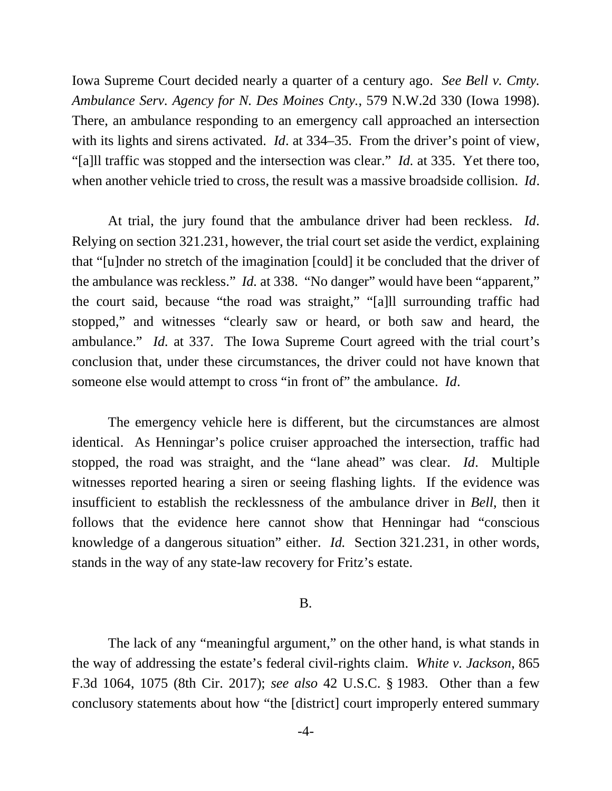Iowa Supreme Court decided nearly a quarter of a century ago. *See Bell v. Cmty. Ambulance Serv. Agency for N. Des Moines Cnty.*, 579 N.W.2d 330 (Iowa 1998). There, an ambulance responding to an emergency call approached an intersection with its lights and sirens activated. *Id*. at 334–35. From the driver's point of view, "[a]ll traffic was stopped and the intersection was clear." *Id.* at 335. Yet there too, when another vehicle tried to cross, the result was a massive broadside collision. *Id*.

At trial, the jury found that the ambulance driver had been reckless. *Id*. Relying on section 321.231, however, the trial court set aside the verdict, explaining that "[u]nder no stretch of the imagination [could] it be concluded that the driver of the ambulance was reckless." *Id.* at 338. "No danger" would have been "apparent," the court said, because "the road was straight," "[a]ll surrounding traffic had stopped," and witnesses "clearly saw or heard, or both saw and heard, the ambulance." *Id.* at 337. The Iowa Supreme Court agreed with the trial court's conclusion that, under these circumstances, the driver could not have known that someone else would attempt to cross "in front of" the ambulance. *Id*.

The emergency vehicle here is different, but the circumstances are almost identical. As Henningar's police cruiser approached the intersection, traffic had stopped, the road was straight, and the "lane ahead" was clear. *Id*. Multiple witnesses reported hearing a siren or seeing flashing lights. If the evidence was insufficient to establish the recklessness of the ambulance driver in *Bell*, then it follows that the evidence here cannot show that Henningar had "conscious knowledge of a dangerous situation" either. *Id.* Section 321.231, in other words, stands in the way of any state-law recovery for Fritz's estate.

## B.

The lack of any "meaningful argument," on the other hand, is what stands in the way of addressing the estate's federal civil-rights claim. *White v. Jackson*, 865 F.3d 1064, 1075 (8th Cir. 2017); *see also* 42 U.S.C. § 1983. Other than a few conclusory statements about how "the [district] court improperly entered summary